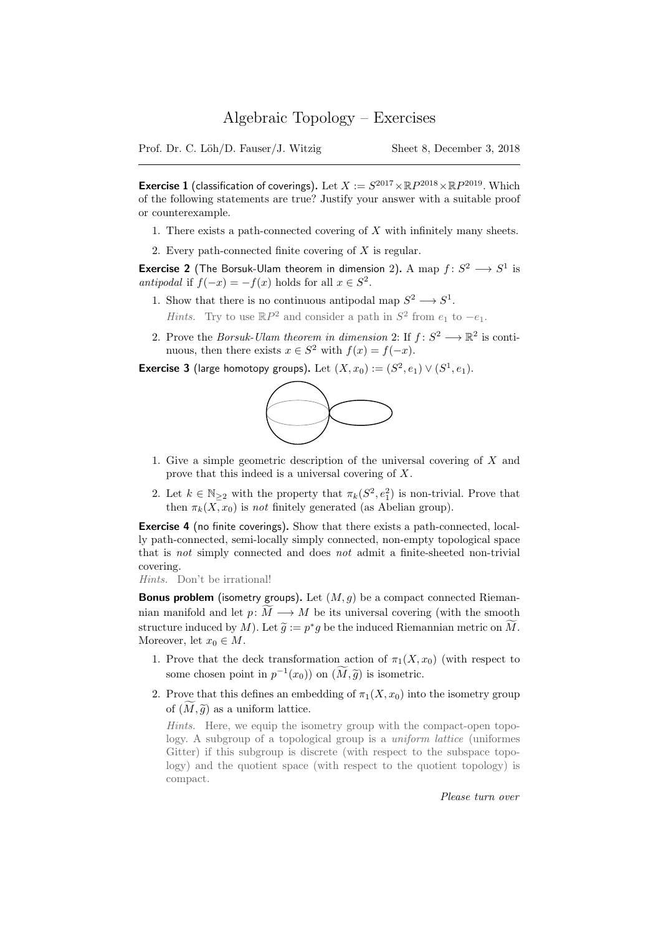Prof. Dr. C. Löh/D. Fauser/J. Witzig Sheet 8, December 3, 2018

**Exercise 1** (classification of coverings). Let  $X := S^{2017} \times \mathbb{R}P^{2018} \times \mathbb{R}P^{2019}$ . Which of the following statements are true? Justify your answer with a suitable proof or counterexample.

- 1. There exists a path-connected covering of  $X$  with infinitely many sheets.
- 2. Every path-connected finite covering of X is regular.

**Exercise 2** (The Borsuk-Ulam theorem in dimension 2). A map  $f: S^2 \longrightarrow S^1$  is antipodal if  $f(-x) = -f(x)$  holds for all  $x \in S^2$ .

- 1. Show that there is no continuous antipodal map  $S^2 \longrightarrow S^1$ . *Hints*. Try to use  $\mathbb{R}P^2$  and consider a path in  $S^2$  from  $e_1$  to  $-e_1$ .
- 2. Prove the *Borsuk-Ulam theorem in dimension* 2: If  $f: S^2 \longrightarrow \mathbb{R}^2$  is continuous, then there exists  $x \in S^2$  with  $f(x) = f(-x)$ .

**Exercise 3** (large homotopy groups). Let  $(X, x_0) := (S^2, e_1) \vee (S^1, e_1)$ .



- 1. Give a simple geometric description of the universal covering of X and prove that this indeed is a universal covering of X.
- 2. Let  $k \in \mathbb{N}_{\geq 2}$  with the property that  $\pi_k(S^2, e_1^2)$  is non-trivial. Prove that then  $\pi_k(\overline{X}, x_0)$  is not finitely generated (as Abelian group).

Exercise 4 (no finite coverings). Show that there exists a path-connected, locally path-connected, semi-locally simply connected, non-empty topological space that is not simply connected and does not admit a finite-sheeted non-trivial covering.

Hints. Don't be irrational!

Bonus problem (isometry groups). Let  $(M, g)$  be a compact connected Riemannian manifold and let  $p: \widetilde{M} \longrightarrow M$  be its universal covering (with the smooth structure induced by M). Let  $\widetilde{g} := p^*g$  be the induced Riemannian metric on  $\widetilde{M}$ .<br>Moreover, let  $x \in M$ Moreover, let  $x_0 \in M$ .

- 1. Prove that the deck transformation action of  $\pi_1(X, x_0)$  (with respect to some chosen point in  $p^{-1}(x_0)$  on  $(\widetilde{M}, \widetilde{g})$  is isometric.
- 2. Prove that this defines an embedding of  $\pi_1(X, x_0)$  into the isometry group of  $(M, \tilde{g})$  as a uniform lattice.

Hints. Here, we equip the isometry group with the compact-open topology. A subgroup of a topological group is a *uniform lattice* (uniformes Gitter) if this subgroup is discrete (with respect to the subspace topology) and the quotient space (with respect to the quotient topology) is compact.

Please turn over